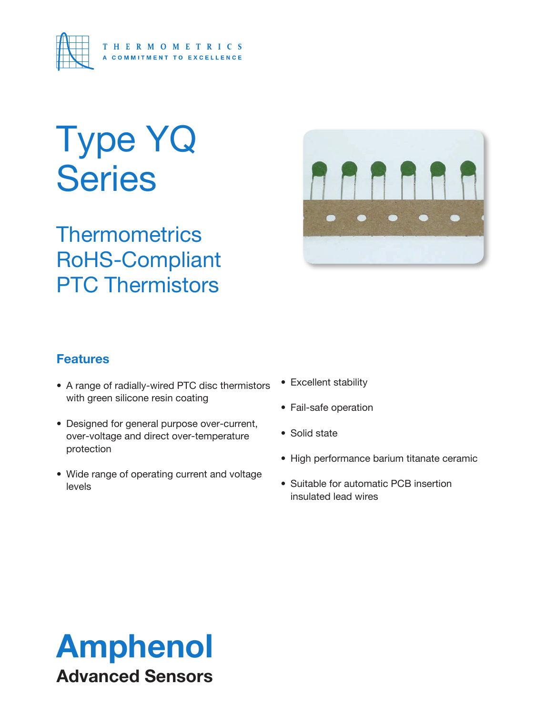

# Type YQ **Series**

**Thermometrics** RoHS-Compliant PTC Thermistors



### **Features**

- A range of radially-wired PTC disc thermistors with green silicone resin coating
- Designed for general purpose over-current, over-voltage and direct over-temperature protection
- Wide range of operating current and voltage levels
- Excellent stability
- Fail-safe operation
- Solid state
- High performance barium titanate ceramic
- Suitable for automatic PCB insertion insulated lead wires

## Amphenol Advanced Sensors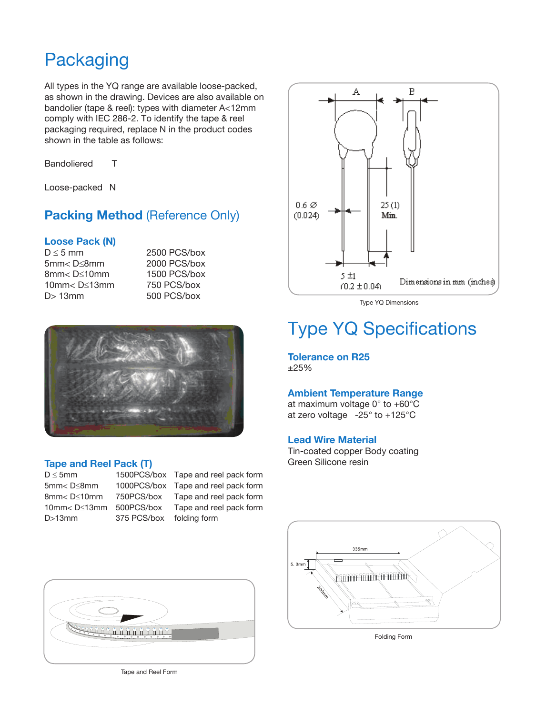## **Packaging**

All types in the YQ range are available loose-packed, as shown in the drawing. Devices are also available on bandolier (tape & reel): types with diameter A<12mm comply with IEC 286-2. To identify the tape & reel packaging required, replace N in the product codes shown in the table as follows:

Bandoliered T

Loose-packed N

#### **Packing Method (Reference Only)**

## **Loose Pack (N)**

5mm< D≤8mm 2000 PCS/box 8mm< D≤10mm 1500 PCS/box 10mm< D≤13mm 750 PCS/box D> 13mm 500 PCS/box

2500 PCS/box



#### **Tape and Reel Pack (T)**

D>13mm 375 PCS/box folding form

D ≤ 5mm 1500PCS/box Tape and reel pack form

5mm< D≤8mm 1000PCS/box Tape and reel pack form 8mm< D≤10mm 750PCS/box Tape and reel pack form 10mm< D≤13mm 500PCS/box Tape and reel pack form



Type YQ Dimensions

## Type YQ Specifications

**Tolerance on R25** ±25%

#### **Ambient Temperature Range**

at maximum voltage 0° to +60°C at zero voltage -25° to +125°C

#### **Lead Wire Material**

Tin-coated copper Body coating Green Silicone resin





Folding Form

Tape and Reel Form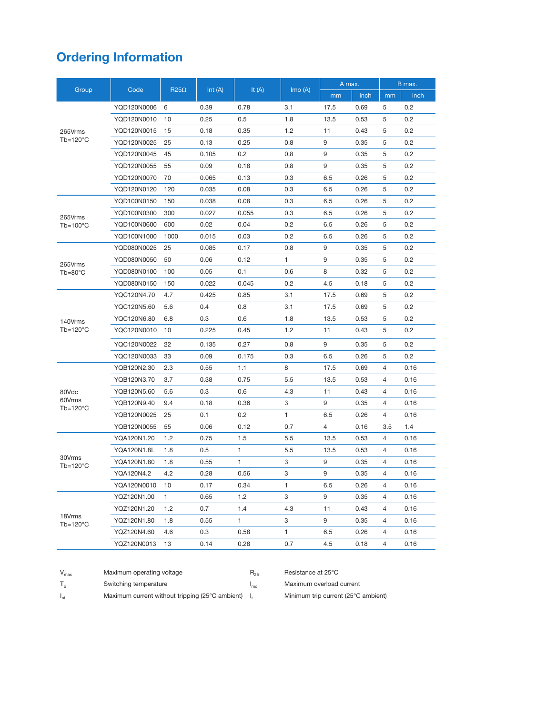## **Ordering Information**

|                                      | Code        | $R25\Omega$ | Int $(A)$ | It $(A)$ | Imo(A)       | A max. |      | B max.         |      |
|--------------------------------------|-------------|-------------|-----------|----------|--------------|--------|------|----------------|------|
| Group                                |             |             |           |          |              | mm     | inch | mm             | inch |
| 265Vrms<br>$Tb=120^{\circ}C$         | YQD120N0006 | 6           | 0.39      | 0.78     | 3.1          | 17.5   | 0.69 | 5              | 0.2  |
|                                      | YQD120N0010 | 10          | 0.25      | 0.5      | 1.8          | 13.5   | 0.53 | 5              | 0.2  |
|                                      | YQD120N0015 | 15          | 0.18      | 0.35     | 1.2          | 11     | 0.43 | 5              | 0.2  |
|                                      | YQD120N0025 | 25          | 0.13      | 0.25     | 0.8          | 9      | 0.35 | 5              | 0.2  |
|                                      | YQD120N0045 | 45          | 0.105     | 0.2      | 0.8          | 9      | 0.35 | 5              | 0.2  |
|                                      | YQD120N0055 | 55          | 0.09      | 0.18     | 0.8          | 9      | 0.35 | 5              | 0.2  |
|                                      | YQD120N0070 | 70          | 0.065     | 0.13     | 0.3          | 6.5    | 0.26 | 5              | 0.2  |
|                                      | YQD120N0120 | 120         | 0.035     | 0.08     | 0.3          | 6.5    | 0.26 | 5              | 0.2  |
| 265Vrms<br>$Tb=100^{\circ}C$         | YQD100N0150 | 150         | 0.038     | 0.08     | 0.3          | 6.5    | 0.26 | 5              | 0.2  |
|                                      | YQD100N0300 | 300         | 0.027     | 0.055    | 0.3          | 6.5    | 0.26 | 5              | 0.2  |
|                                      | YQD100N0600 | 600         | 0.02      | 0.04     | 0.2          | 6.5    | 0.26 | 5              | 0.2  |
|                                      | YQD100N1000 | 1000        | 0.015     | 0.03     | 0.2          | 6.5    | 0.26 | 5              | 0.2  |
| 265Vrms<br>$Tb = 80^{\circ}C$        | YQD080N0025 | 25          | 0.085     | 0.17     | 0.8          | 9      | 0.35 | 5              | 0.2  |
|                                      | YQD080N0050 | 50          | 0.06      | 0.12     | 1            | 9      | 0.35 | 5              | 0.2  |
|                                      | YQD080N0100 | 100         | 0.05      | 0.1      | 0.6          | 8      | 0.32 | 5              | 0.2  |
|                                      | YQD080N0150 | 150         | 0.022     | 0.045    | 0.2          | 4.5    | 0.18 | 5              | 0.2  |
|                                      | YQC120N4.70 | 4.7         | 0.425     | 0.85     | 3.1          | 17.5   | 0.69 | 5              | 0.2  |
| 140Vrms<br>$Tb=120^{\circ}C$         | YQC120N5.60 | 5.6         | 0.4       | 0.8      | 3.1          | 17.5   | 0.69 | 5              | 0.2  |
|                                      | YQC120N6.80 | 6.8         | 0.3       | 0.6      | 1.8          | 13.5   | 0.53 | 5              | 0.2  |
|                                      | YQC120N0010 | 10          | 0.225     | 0.45     | 1.2          | 11     | 0.43 | 5              | 0.2  |
|                                      | YQC120N0022 | 22          | 0.135     | 0.27     | 0.8          | 9      | 0.35 | 5              | 0.2  |
|                                      | YQC120N0033 | 33          | 0.09      | 0.175    | 0.3          | 6.5    | 0.26 | 5              | 0.2  |
| 80Vdc<br>60Vrms<br>$Tb=120^{\circ}C$ | YQB120N2.30 | 2.3         | 0.55      | 1.1      | 8            | 17.5   | 0.69 | $\overline{4}$ | 0.16 |
|                                      | YQB120N3.70 | 3.7         | 0.38      | 0.75     | 5.5          | 13.5   | 0.53 | $\overline{4}$ | 0.16 |
|                                      | YQB120N5.60 | 5.6         | 0.3       | 0.6      | 4.3          | 11     | 0.43 | $\overline{4}$ | 0.16 |
|                                      | YQB120N9.40 | 9.4         | 0.18      | 0.36     | 3            | 9      | 0.35 | 4              | 0.16 |
|                                      | YQB120N0025 | 25          | 0.1       | 0.2      | $\mathbf{1}$ | 6.5    | 0.26 | 4              | 0.16 |
|                                      | YQB120N0055 | 55          | 0.06      | 0.12     | 0.7          | 4      | 0.16 | 3.5            | 1.4  |
| 30Vrms<br>$Tb=120^{\circ}C$          | YQA120N1.20 | 1.2         | 0.75      | 1.5      | 5.5          | 13.5   | 0.53 | $\overline{4}$ | 0.16 |
|                                      | YQA120N1.8L | 1.8         | 0.5       | 1        | 5.5          | 13.5   | 0.53 | 4              | 0.16 |
|                                      | YQA120N1.80 | 1.8         | 0.55      | 1        | 3            | 9      | 0.35 | $\overline{4}$ | 0.16 |
|                                      | YQA120N4.2  | 4.2         | 0.28      | 0.56     | 3            | 9      | 0.35 | $\overline{4}$ | 0.16 |
|                                      | YQA120N0010 | 10          | 0.17      | 0.34     | $\mathbf{1}$ | 6.5    | 0.26 | $\overline{4}$ | 0.16 |
| 18Vrms<br>$Tb=120^{\circ}C$          | YQZ120N1.00 | 1           | 0.65      | 1.2      | 3            | 9      | 0.35 | $\overline{4}$ | 0.16 |
|                                      | YQZ120N1.20 | 1.2         | 0.7       | 1.4      | 4.3          | 11     | 0.43 | $\overline{4}$ | 0.16 |
|                                      | YQZ120N1.80 | 1.8         | 0.55      | 1        | 3            | 9      | 0.35 | $\overline{4}$ | 0.16 |
|                                      | YQZ120N4.60 | 4.6         | 0.3       | 0.58     | 1            | 6.5    | 0.26 | 4              | 0.16 |
|                                      | YQZ120N0013 | 13          | 0.14      | 0.28     | 0.7          | 4.5    | 0.18 | 4              | 0.16 |

| $V_{\text{max}}$ | Maximum operating voltage                       | $H_{25}$ | Resistance at 25°C                  |
|------------------|-------------------------------------------------|----------|-------------------------------------|
|                  | Switching temperature                           | 'mo      | Maximum overload current            |
| $I_{nt}$         | Maximum current without tripping (25°C ambient) |          | Minimum trip current (25°C ambient) |

 $R_{25}$  Resistance at 25 $^{\circ}$ C